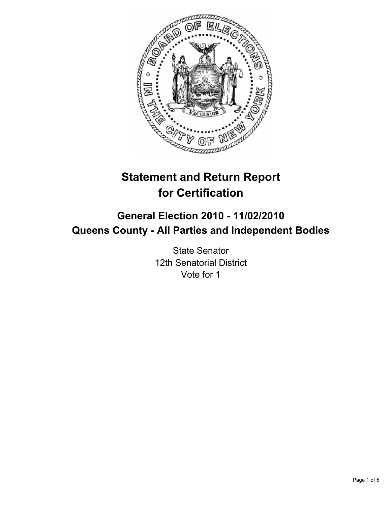

# **Statement and Return Report for Certification**

## **General Election 2010 - 11/02/2010 Queens County - All Parties and Independent Bodies**

State Senator 12th Senatorial District Vote for 1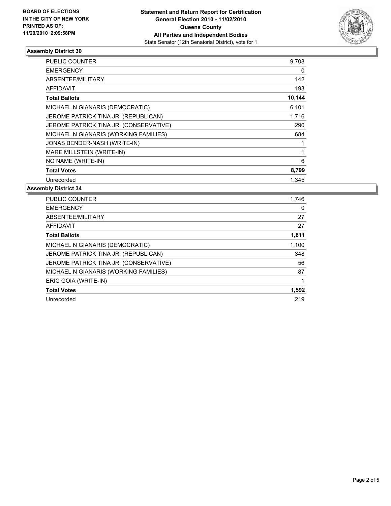

## **Assembly District 30**

| <b>PUBLIC COUNTER</b>                  | 9,708       |
|----------------------------------------|-------------|
| <b>EMERGENCY</b>                       | 0           |
| ABSENTEE/MILITARY                      | 142         |
| <b>AFFIDAVIT</b>                       | 193         |
| <b>Total Ballots</b>                   | 10,144      |
| MICHAEL N GIANARIS (DEMOCRATIC)        | 6,101       |
| JEROME PATRICK TINA JR. (REPUBLICAN)   | 1,716       |
| JEROME PATRICK TINA JR. (CONSERVATIVE) | 290         |
| MICHAEL N GIANARIS (WORKING FAMILIES)  | 684         |
| JONAS BENDER-NASH (WRITE-IN)           | $\mathbf 1$ |
| MARE MILLSTEIN (WRITE-IN)              | 1           |
| NO NAME (WRITE-IN)                     | 6           |
| <b>Total Votes</b>                     | 8,799       |
| Unrecorded                             | 1.345       |

**Assembly District 34**

| <b>PUBLIC COUNTER</b>                  | 1,746 |
|----------------------------------------|-------|
| <b>EMERGENCY</b>                       | 0     |
| ABSENTEE/MILITARY                      | 27    |
| <b>AFFIDAVIT</b>                       | 27    |
| <b>Total Ballots</b>                   | 1,811 |
| MICHAEL N GIANARIS (DEMOCRATIC)        | 1,100 |
| JEROME PATRICK TINA JR. (REPUBLICAN)   | 348   |
| JEROME PATRICK TINA JR. (CONSERVATIVE) | 56    |
| MICHAEL N GIANARIS (WORKING FAMILIES)  | 87    |
| ERIC GOIA (WRITE-IN)                   |       |
| <b>Total Votes</b>                     | 1,592 |
| Unrecorded                             | 219   |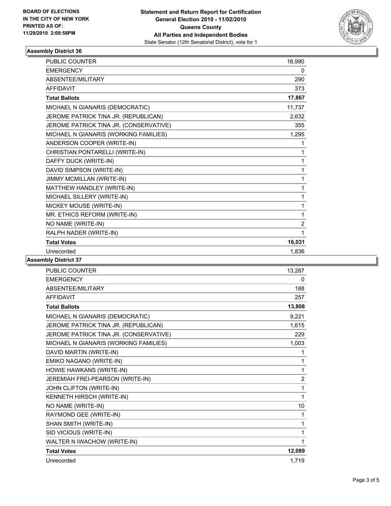

## **Assembly District 36**

| <b>PUBLIC COUNTER</b>                  | 16,990         |
|----------------------------------------|----------------|
| <b>EMERGENCY</b>                       | 0              |
| ABSENTEE/MILITARY                      | 290            |
| <b>AFFIDAVIT</b>                       | 373            |
| <b>Total Ballots</b>                   | 17,867         |
| MICHAEL N GIANARIS (DEMOCRATIC)        | 11,737         |
| JEROME PATRICK TINA JR. (REPUBLICAN)   | 2,632          |
| JEROME PATRICK TINA JR. (CONSERVATIVE) | 355            |
| MICHAEL N GIANARIS (WORKING FAMILIES)  | 1,295          |
| ANDERSON COOPER (WRITE-IN)             | 1              |
| CHRISTIAN PONTARELLI (WRITE-IN)        | 1              |
| DAFFY DUCK (WRITE-IN)                  | 1              |
| DAVID SIMPSON (WRITE-IN)               | 1              |
| JIMMY MCMILLAN (WRITE-IN)              | 1              |
| MATTHEW HANDLEY (WRITE-IN)             | 1              |
| MICHAEL SILLERY (WRITE-IN)             | 1              |
| MICKEY MOUSE (WRITE-IN)                | 1              |
| MR. ETHICS REFORM (WRITE-IN)           | 1              |
| NO NAME (WRITE-IN)                     | $\overline{2}$ |
| RALPH NADER (WRITE-IN)                 | 1              |
| <b>Total Votes</b>                     | 16,031         |
| Unrecorded                             | 1,836          |

## **Assembly District 37**

| <b>PUBLIC COUNTER</b>                  | 13,287         |
|----------------------------------------|----------------|
| <b>EMERGENCY</b>                       | 0              |
| <b>ABSENTEE/MILITARY</b>               | 188            |
| <b>AFFIDAVIT</b>                       | 257            |
| <b>Total Ballots</b>                   | 13,808         |
| MICHAEL N GIANARIS (DEMOCRATIC)        | 9,221          |
| JEROME PATRICK TINA JR. (REPUBLICAN)   | 1,615          |
| JEROME PATRICK TINA JR. (CONSERVATIVE) | 229            |
| MICHAEL N GIANARIS (WORKING FAMILIES)  | 1,003          |
| DAVID MARTIN (WRITE-IN)                | 1              |
| EMIKO NAGANO (WRITE-IN)                | 1              |
| HOWIE HAWKANS (WRITE-IN)               | 1              |
| JEREMIAH FREI-PEARSON (WRITE-IN)       | $\overline{2}$ |
| JOHN CLIFTON (WRITE-IN)                | 1              |
| KENNETH HIRSCH (WRITE-IN)              | 1              |
| NO NAME (WRITE-IN)                     | 10             |
| RAYMOND GEE (WRITE-IN)                 | 1              |
| SHAN SMITH (WRITE-IN)                  | 1              |
| SID VICIOUS (WRITE-IN)                 | 1              |
| WALTER N IWACHOW (WRITE-IN)            | 1              |
| <b>Total Votes</b>                     | 12,089         |
| Unrecorded                             | 1,719          |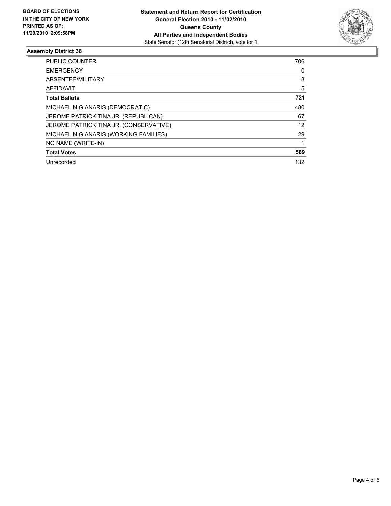

## **Assembly District 38**

| <b>PUBLIC COUNTER</b>                  | 706 |
|----------------------------------------|-----|
| <b>EMERGENCY</b>                       | 0   |
| ABSENTEE/MILITARY                      | 8   |
| <b>AFFIDAVIT</b>                       | 5   |
| <b>Total Ballots</b>                   | 721 |
| MICHAEL N GIANARIS (DEMOCRATIC)        | 480 |
| JEROME PATRICK TINA JR. (REPUBLICAN)   | 67  |
| JEROME PATRICK TINA JR. (CONSERVATIVE) | 12  |
| MICHAEL N GIANARIS (WORKING FAMILIES)  | 29  |
| NO NAME (WRITE-IN)                     |     |
| <b>Total Votes</b>                     | 589 |
| Unrecorded                             | 132 |